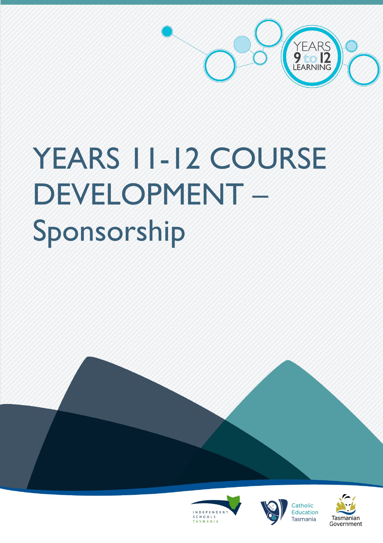

# YEARS 11-12 COURSE DEVELOPMENT – Sponsorship







Tasmanian

Government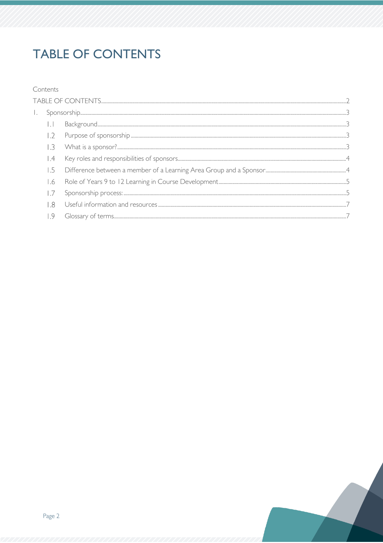# <span id="page-1-0"></span>**TABLE OF CONTENTS**

### Contents

| 1.2 |  |  |
|-----|--|--|
| 1.3 |  |  |
| .4  |  |  |
| -5  |  |  |
| .6  |  |  |
|     |  |  |
| -8  |  |  |
|     |  |  |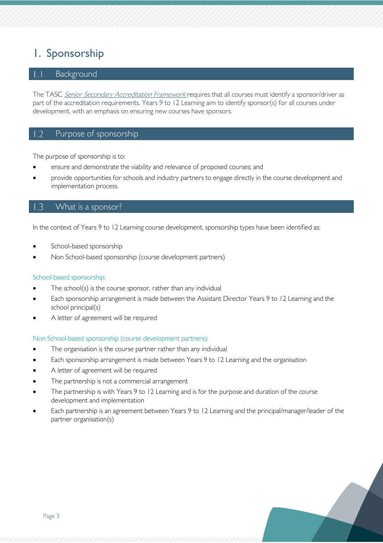# <span id="page-2-0"></span>1. Sponsorship

# <span id="page-2-1"></span>Background

The TASC [Senior Secondary Accreditation Framework](https://www.tasc.tas.gov.au/wp-content/uploads/2019/10/TASC-Senior-Secondary-Accreditation-Framework.pdf) requires that all courses must identify a sponsor/driver as part of the accreditation requirements. Years 9 to 12 Learning aim to identify sponsor(s) for all courses under development, with an emphasis on ensuring new courses have sponsors.

#### <span id="page-2-2"></span> $\overline{1.2}$ Purpose of sponsorship

The purpose of sponsorship is to:

- ensure and demonstrate the viability and relevance of proposed courses; and
- provide opportunities for schools and industry partners to engage directly in the course development and implementation process.

#### <span id="page-2-3"></span> $\overline{\phantom{0}}$ .3 What is a sponsor?

In the context of Years 9 to 12 Learning course development, sponsorship types have been identified as:

- School-based sponsorship
- Non School-based sponsorship (course development partners)

#### School-based sponsorship:

- The school(s) is the course sponsor, rather than any individual
- Each sponsorship arrangement is made between the Assistant Director Years 9 to 12 Learning and the school principal(s)
- A letter of agreement will be required

#### Non School-based sponsorship (course development partners):

- The organisation is the course partner rather than any individual
- Each sponsorship arrangement is made between Years 9 to 12 Learning and the organisation
- A letter of agreement will be required
- The partnership is not a commercial arrangement
- The partnership is with Years 9 to 12 Learning and is for the purpose and duration of the course development and implementation
- Each partnership is an agreement between Years 9 to 12 Learning and the principal/manager/leader of the partner organisation(s)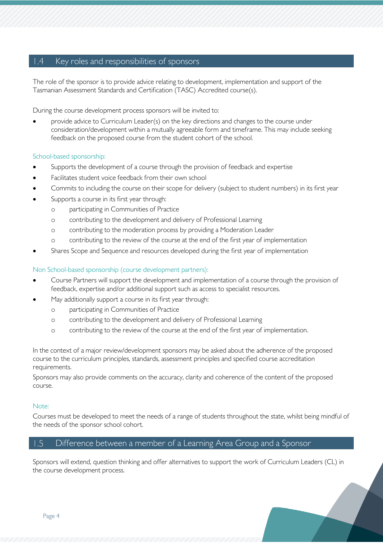#### <span id="page-3-0"></span> $\vert .4$ Key roles and responsibilities of sponsors

The role of the sponsor is to provide advice relating to development, implementation and support of the Tasmanian Assessment Standards and Certification (TASC) Accredited course(s).

During the course development process sponsors will be invited to:

• provide advice to Curriculum Leader(s) on the key directions and changes to the course under consideration/development within a mutually agreeable form and timeframe. This may include seeking feedback on the proposed course from the student cohort of the school.

#### School-based sponsorship:

- Supports the development of a course through the provision of feedback and expertise
- Facilitates student voice feedback from their own school
- Commits to including the course on their scope for delivery (subject to student numbers) in its first year
- Supports a course in its first year through:
	- o participating in Communities of Practice
	- o contributing to the development and delivery of Professional Learning
	- o contributing to the moderation process by providing a Moderation Leader
	- o contributing to the review of the course at the end of the first year of implementation
- Shares Scope and Sequence and resources developed during the first year of implementation

### Non School-based sponsorship (course development partners):

- Course Partners will support the development and implementation of a course through the provision of feedback, expertise and/or additional support such as access to specialist resources.
- May additionally support a course in its first year through:
	- o participating in Communities of Practice
	- o contributing to the development and delivery of Professional Learning
	- o contributing to the review of the course at the end of the first year of implementation.

In the context of a major review/development sponsors may be asked about the adherence of the proposed course to the curriculum principles, standards, assessment principles and specified course accreditation requirements.

Sponsors may also provide comments on the accuracy, clarity and coherence of the content of the proposed course.

#### Note:

Courses must be developed to meet the needs of a range of students throughout the state, whilst being mindful of the needs of the sponsor school cohort.

#### <span id="page-3-1"></span> $1.5$ Difference between a member of a Learning Area Group and a Sponsor

Sponsors will extend, question thinking and offer alternatives to support the work of Curriculum Leaders (CL) in the course development process.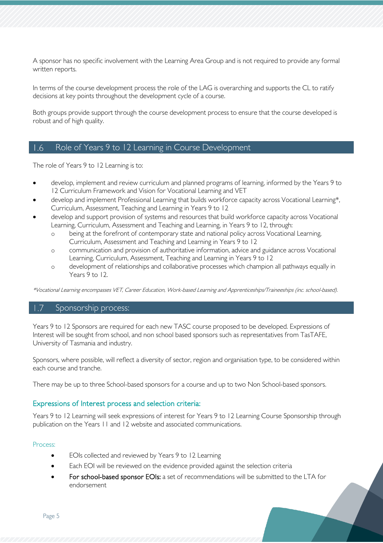A sponsor has no specific involvement with the Learning Area Group and is not required to provide any formal written reports.

In terms of the course development process the role of the LAG is overarching and supports the CL to ratify decisions at key points throughout the development cycle of a course.

Both groups provide support through the course development process to ensure that the course developed is robust and of high quality.

#### <span id="page-4-0"></span> $1.6$ Role of Years 9 to 12 Learning in Course Development

The role of Years 9 to 12 Learning is to:

- develop, implement and review curriculum and planned programs of learning, informed by the Years 9 to 12 Curriculum Framework and Vision for Vocational Learning and VET
- develop and implement Professional Learning that builds workforce capacity across Vocational Learning\*, Curriculum, Assessment, Teaching and Learning in Years 9 to 12
- develop and support provision of systems and resources that build workforce capacity across Vocational Learning, Curriculum, Assessment and Teaching and Learning, in Years 9 to 12, through:
	- o being at the forefront of contemporary state and national policy across Vocational Learning, Curriculum, Assessment and Teaching and Learning in Years 9 to 12
	- o communication and provision of authoritative information, advice and guidance across Vocational Learning, Curriculum, Assessment, Teaching and Learning in Years 9 to 12
	- o development of relationships and collaborative processes which champion all pathways equally in Years 9 to 12.

\*Vocational Learning encompasses VET, Career Education, Work-based Learning and Apprenticeships/Traineeships (inc. school-based).

# <span id="page-4-1"></span>Sponsorship process:

Years 9 to 12 Sponsors are required for each new TASC course proposed to be developed. Expressions of Interest will be sought from school, and non school based sponsors such as representatives from TasTAFE, University of Tasmania and industry.

Sponsors, where possible, will reflect a diversity of sector, region and organisation type, to be considered within each course and tranche.

There may be up to three School-based sponsors for a course and up to two Non School-based sponsors.

## Expressions of Interest process and selection criteria:

Years 9 to 12 Learning will seek expressions of interest for Years 9 to 12 Learning Course Sponsorship through publication on the Years 11 and 12 website and associated communications.

#### Process:

- EOIs collected and reviewed by Years 9 to 12 Learning
- Each EOI will be reviewed on the evidence provided against the selection criteria
- For school-based sponsor EOIs: a set of recommendations will be submitted to the LTA for endorsement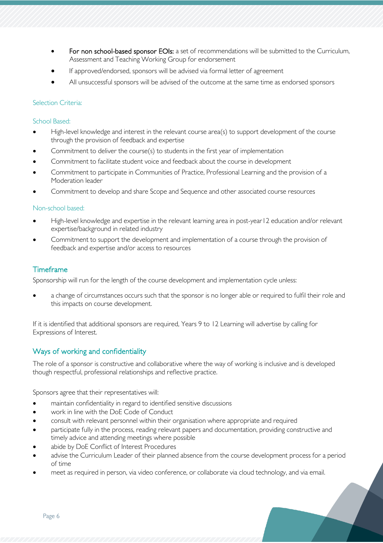- For non school-based sponsor EOIs: a set of recommendations will be submitted to the Curriculum, Assessment and Teaching Working Group for endorsement
- If approved/endorsed, sponsors will be advised via formal letter of agreement
- All unsuccessful sponsors will be advised of the outcome at the same time as endorsed sponsors

#### Selection Criteria:

#### School Based:

- High-level knowledge and interest in the relevant course area(s) to support development of the course through the provision of feedback and expertise
- Commitment to deliver the course(s) to students in the first year of implementation
- Commitment to facilitate student voice and feedback about the course in development
- Commitment to participate in Communities of Practice, Professional Learning and the provision of a Moderation leader
- Commitment to develop and share Scope and Sequence and other associated course resources

#### Non-school based:

- High-level knowledge and expertise in the relevant learning area in post-year12 education and/or relevant expertise/background in related industry
- Commitment to support the development and implementation of a course through the provision of feedback and expertise and/or access to resources

# Timeframe

Sponsorship will run for the length of the course development and implementation cycle unless:

a change of circumstances occurs such that the sponsor is no longer able or required to fulfil their role and this impacts on course development.

If it is identified that additional sponsors are required, Years 9 to 12 Learning will advertise by calling for Expressions of Interest.

# Ways of working and confidentiality

The role of a sponsor is constructive and collaborative where the way of working is inclusive and is developed though respectful, professional relationships and reflective practice.

Sponsors agree that their representatives will:

- maintain confidentiality in regard to identified sensitive discussions
- work in line with the DoE Code of Conduct
- consult with relevant personnel within their organisation where appropriate and required
- participate fully in the process, reading relevant papers and documentation, providing constructive and timely advice and attending meetings where possible
- abide by DoE Conflict of Interest Procedures
- advise the Curriculum Leader of their planned absence from the course development process for a period of time
- meet as required in person, via video conference, or collaborate via cloud technology, and via email.